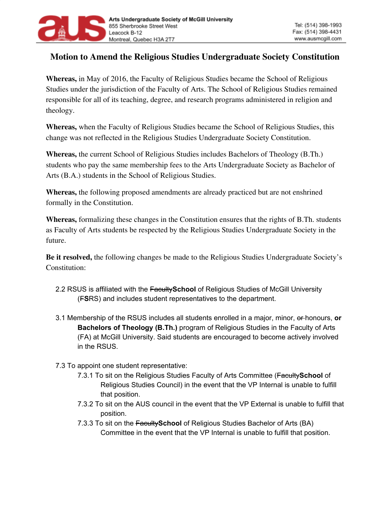

## **Motion to Amend the Religious Studies Undergraduate Society Constitution**

**Whereas,** in May of 2016, the Faculty of Religious Studies became the School of Religious Studies under the jurisdiction of the Faculty of Arts. The School of Religious Studies remained responsible for all of its teaching, degree, and research programs administered in religion and theology.

**Whereas,** when the Faculty of Religious Studies became the School of Religious Studies, this change was not reflected in the Religious Studies Undergraduate Society Constitution.

**Whereas,** the current School of Religious Studies includes Bachelors of Theology (B.Th.) students who pay the same membership fees to the Arts Undergraduate Society as Bachelor of Arts (B.A.) students in the School of Religious Studies.

**Whereas,** the following proposed amendments are already practiced but are not enshrined formally in the Constitution.

**Whereas,** formalizing these changes in the Constitution ensures that the rights of B.Th. students as Faculty of Arts students be respected by the Religious Studies Undergraduate Society in the future.

**Be it resolved,** the following changes be made to the Religious Studies Undergraduate Society's Constitution:

- 2.2 RSUS is affiliated with the Faculty**School** of Religious Studies of McGill University (F**S**RS) and includes student representatives to the department.
- 3.1 Membership of the RSUS includes all students enrolled in a major, minor, or honours, **or Bachelors of Theology (B.Th.)** program of Religious Studies in the Faculty of Arts (FA) at McGill University. Said students are encouraged to become actively involved in the RSUS.
- 7.3 To appoint one student representative:
	- 7.3.1 To sit on the Religious Studies Faculty of Arts Committee (Faculty**School** of Religious Studies Council) in the event that the VP Internal is unable to fulfill that position.
	- 7.3.2 To sit on the AUS council in the event that the VP External is unable to fulfill that position.
	- 7.3.3 To sit on the Faculty**School** of Religious Studies Bachelor of Arts (BA) Committee in the event that the VP Internal is unable to fulfill that position.